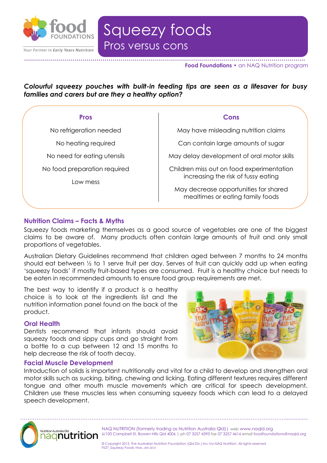

# Pros versus cons Squeezy foods

Pros vs cons

**Food Foundations •** an NAQ Nutrition program

*Colourful squeezy pouches with built-in feeding tips are seen as a lifesaver for busy families and carers but are they a healthy option?* 

**…………………………………………………………………………………………………………………………..**

| <b>Pros</b>                  | Cons                                                                                                                                                          |
|------------------------------|---------------------------------------------------------------------------------------------------------------------------------------------------------------|
| No refrigeration needed      | May have misleading nutrition claims                                                                                                                          |
| No heating required          | Can contain large amounts of sugar                                                                                                                            |
| No need for eating utensils  | May delay development of oral motor skills                                                                                                                    |
| No food preparation required | Children miss out on food experimentation<br>increasing the risk of fussy eating<br>May decrease opportunities for shared<br>mealtimes or eating family foods |
| I ow mess                    |                                                                                                                                                               |

# **Nutrition Claims – Facts & Myths**

Squeezy foods marketing themselves as a good source of vegetables are one of the biggest claims to be aware of. Many products often contain large amounts of fruit and only small proportions of vegetables.

Australian Dietary Guidelines recommend that children aged between 7 months to 24 months should eat between ½ to 1 serve fruit per day. Serves of fruit can quickly add up when eating 'squeezy foods' if mostly fruit-based types are consumed. Fruit is a healthy choice but needs to be eaten in recommended amounts to ensure food group requirements are met.

The best way to identify if a product is a healthy choice is to look at the ingredients list and the nutrition information panel found on the back of the product.

### **Oral Health**

Dentists recommend that infants should avoid squeezy foods and sippy cups and go straight from a bottle to a cup between 12 and 15 months to help decrease the risk of tooth decay.

#### **Facial Muscle Development**

Introduction of solids is important nutritionally and vital for a child to develop and strengthen oral motor skills such as sucking, biting, chewing and licking. Eating different textures requires different tongue and other mouth muscle movements which are critical for speech development. Children use these muscles less when consuming squeezy foods which can lead to a delayed speech development.



NAQ NUTRITION (formerly trading as Nutrition Australia Qld)| web www.naqld.org 6/100 Campbell St, Bowen Hills Qld 4006 | ph 07 3257 4393 fax 07 3257 4616 email foodfoundations@naqld.org